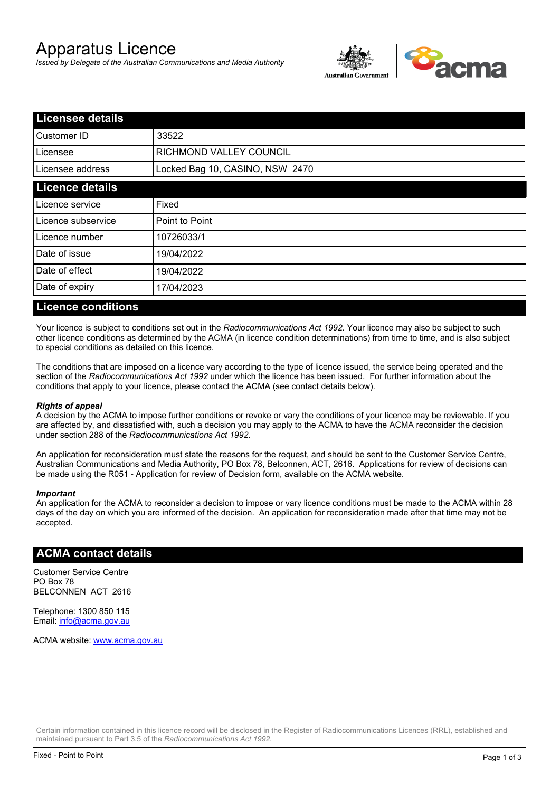# Apparatus Licence

*Issued by Delegate of the Australian Communications and Media Authority*



| <b>Licensee details</b> |                                 |  |
|-------------------------|---------------------------------|--|
| Customer ID             | 33522                           |  |
| Licensee                | <b>RICHMOND VALLEY COUNCIL</b>  |  |
| Licensee address        | Locked Bag 10, CASINO, NSW 2470 |  |
| <b>Licence details</b>  |                                 |  |
| Licence service         | Fixed                           |  |
| Licence subservice      | Point to Point                  |  |
| Licence number          | 10726033/1                      |  |
| Date of issue           | 19/04/2022                      |  |
| Date of effect          | 19/04/2022                      |  |
| Date of expiry          | 17/04/2023                      |  |
|                         |                                 |  |

### **Licence conditions**

Your licence is subject to conditions set out in the *Radiocommunications Act 1992*. Your licence may also be subject to such other licence conditions as determined by the ACMA (in licence condition determinations) from time to time, and is also subject to special conditions as detailed on this licence.

The conditions that are imposed on a licence vary according to the type of licence issued, the service being operated and the section of the *Radiocommunications Act 1992* under which the licence has been issued. For further information about the conditions that apply to your licence, please contact the ACMA (see contact details below).

#### *Rights of appeal*

A decision by the ACMA to impose further conditions or revoke or vary the conditions of your licence may be reviewable. If you are affected by, and dissatisfied with, such a decision you may apply to the ACMA to have the ACMA reconsider the decision under section 288 of the *Radiocommunications Act 1992*.

An application for reconsideration must state the reasons for the request, and should be sent to the Customer Service Centre, Australian Communications and Media Authority, PO Box 78, Belconnen, ACT, 2616. Applications for review of decisions can be made using the R051 - Application for review of Decision form, available on the ACMA website.

#### *Important*

An application for the ACMA to reconsider a decision to impose or vary licence conditions must be made to the ACMA within 28 days of the day on which you are informed of the decision. An application for reconsideration made after that time may not be accepted.

#### **ACMA contact details**

Customer Service Centre PO Box 78 BELCONNEN ACT 2616

Telephone: 1300 850 115 Email: info@acma.gov.au

ACMA website: www.acma.gov.au

Certain information contained in this licence record will be disclosed in the Register of Radiocommunications Licences (RRL), established and maintained pursuant to Part 3.5 of the *Radiocommunications Act 1992.*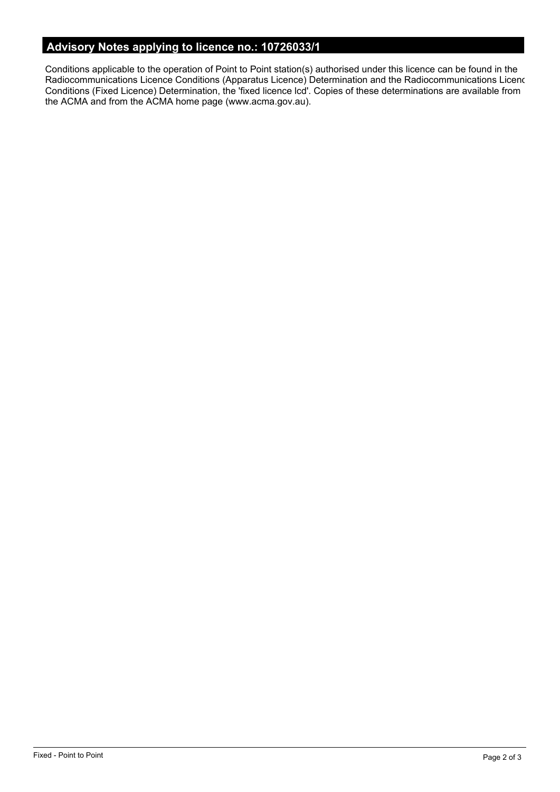# **Advisory Notes applying to licence no.: 10726033/1**

Conditions applicable to the operation of Point to Point station(s) authorised under this licence can be found in the Radiocommunications Licence Conditions (Apparatus Licence) Determination and the Radiocommunications Licence Conditions (Fixed Licence) Determination, the 'fixed licence lcd'. Copies of these determinations are available from the ACMA and from the ACMA home page (www.acma.gov.au).